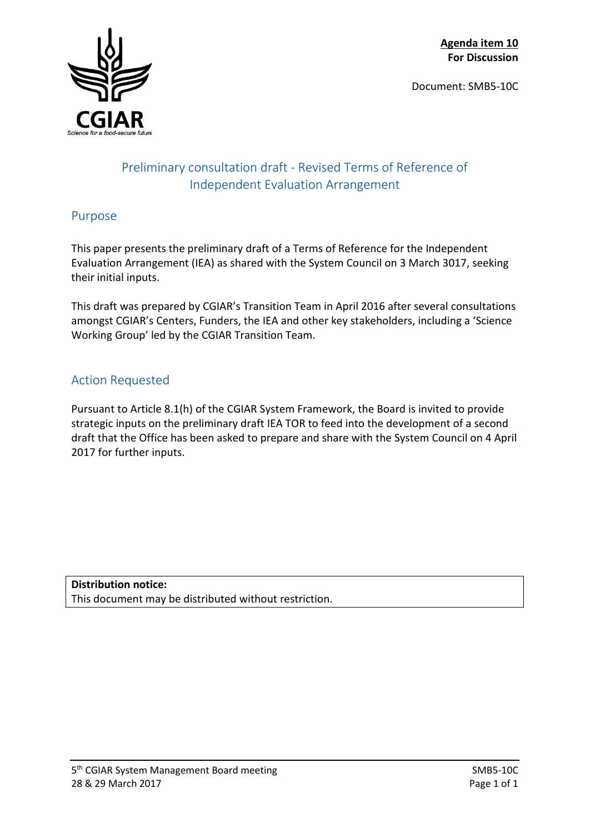Document: SMB5-10C



# Preliminary consultation draft - Revised Terms of Reference of Independent Evaluation Arrangement

# Purpose

This paper presents the preliminary draft of a Terms of Reference for the Independent Evaluation Arrangement (IEA) as shared with the System Council on 3 March 3017, seeking their initial inputs.

This draft was prepared by CGIAR's Transition Team in April 2016 after several consultations amongst CGIAR's Centers, Funders, the IEA and other key stakeholders, including a 'Science Working Group' led by the CGIAR Transition Team.

# Action Requested

Pursuant to Article 8.1(h) of the CGIAR System Framework, the Board is invited to provide strategic inputs on the preliminary draft IEA TOR to feed into the development of a second draft that the Office has been asked to prepare and share with the System Council on 4 April 2017 for further inputs.

**Distribution notice:** This document may be distributed without restriction.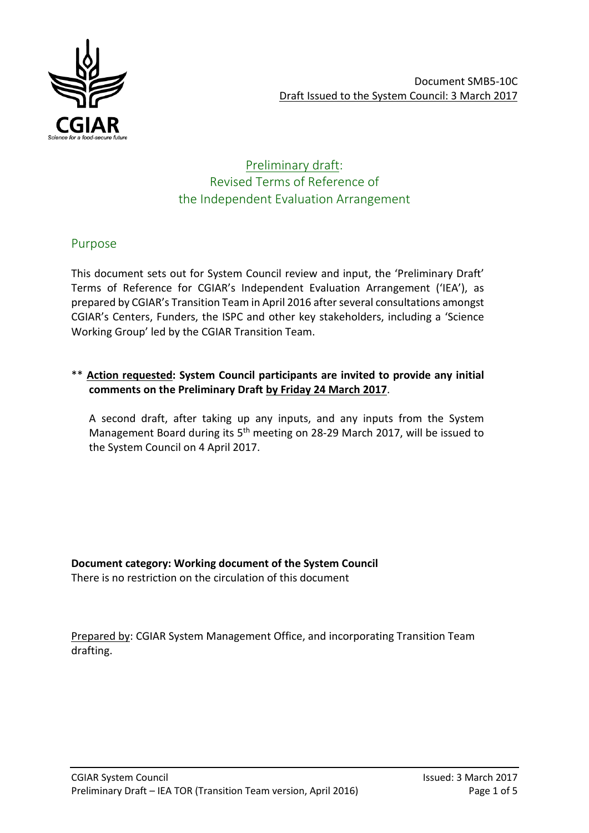

## Preliminary draft: Revised Terms of Reference of the Independent Evaluation Arrangement

## Purpose

This document sets out for System Council review and input, the 'Preliminary Draft' Terms of Reference for CGIAR's Independent Evaluation Arrangement ('IEA'), as prepared by CGIAR's Transition Team in April 2016 after several consultations amongst CGIAR's Centers, Funders, the ISPC and other key stakeholders, including a 'Science Working Group' led by the CGIAR Transition Team.

## \*\* **Action requested: System Council participants are invited to provide any initial comments on the Preliminary Draft by Friday 24 March 2017**.

A second draft, after taking up any inputs, and any inputs from the System Management Board during its 5<sup>th</sup> meeting on 28-29 March 2017, will be issued to the System Council on 4 April 2017.

**Document category: Working document of the System Council** There is no restriction on the circulation of this document

Prepared by: CGIAR System Management Office, and incorporating Transition Team drafting.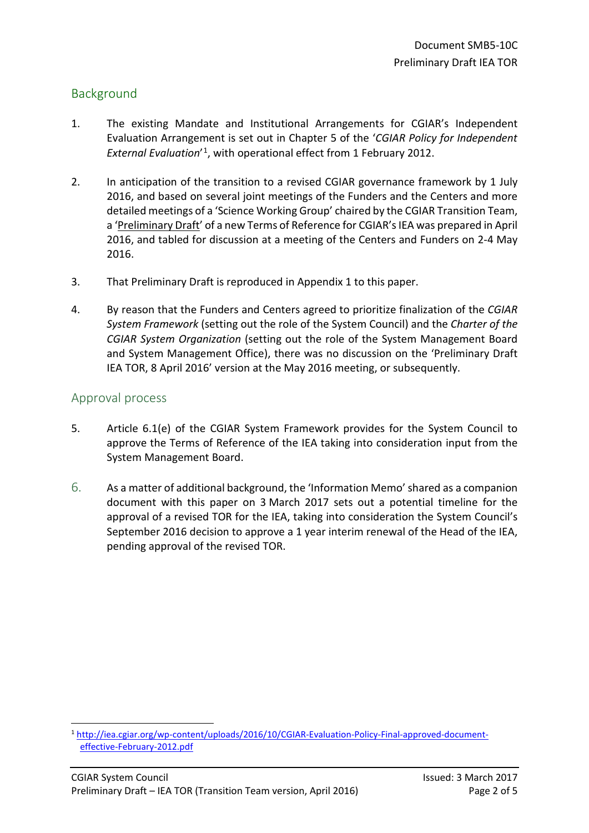## Background

- 1. The existing Mandate and Institutional Arrangements for CGIAR's Independent Evaluation Arrangement is set out in Chapter 5 of the '*CGIAR Policy for Independent External Evaluation*' [1,](#page-2-0) with operational effect from 1 February 2012.
- 2. In anticipation of the transition to a revised CGIAR governance framework by 1 July 2016, and based on several joint meetings of the Funders and the Centers and more detailed meetings of a 'Science Working Group' chaired by the CGIAR Transition Team, a 'Preliminary Draft' of a new Terms of Reference for CGIAR's IEA was prepared in April 2016, and tabled for discussion at a meeting of the Centers and Funders on 2-4 May 2016.
- 3. That Preliminary Draft is reproduced in Appendix 1 to this paper.
- 4. By reason that the Funders and Centers agreed to prioritize finalization of the *CGIAR System Framework* (setting out the role of the System Council) and the *Charter of the CGIAR System Organization* (setting out the role of the System Management Board and System Management Office), there was no discussion on the 'Preliminary Draft IEA TOR, 8 April 2016' version at the May 2016 meeting, or subsequently.

## Approval process

 $\overline{\phantom{a}}$ 

- 5. Article 6.1(e) of the CGIAR System Framework provides for the System Council to approve the Terms of Reference of the IEA taking into consideration input from the System Management Board.
- 6. As a matter of additional background, the 'Information Memo' shared as a companion document with this paper on 3 March 2017 sets out a potential timeline for the approval of a revised TOR for the IEA, taking into consideration the System Council's September 2016 decision to approve a 1 year interim renewal of the Head of the IEA, pending approval of the revised TOR.

<span id="page-2-0"></span><sup>1</sup> [http://iea.cgiar.org/wp-content/uploads/2016/10/CGIAR-Evaluation-Policy-Final-approved-document](http://iea.cgiar.org/wp-content/uploads/2016/10/CGIAR-Evaluation-Policy-Final-approved-document-effective-February-2012.pdf)[effective-February-2012.pdf](http://iea.cgiar.org/wp-content/uploads/2016/10/CGIAR-Evaluation-Policy-Final-approved-document-effective-February-2012.pdf)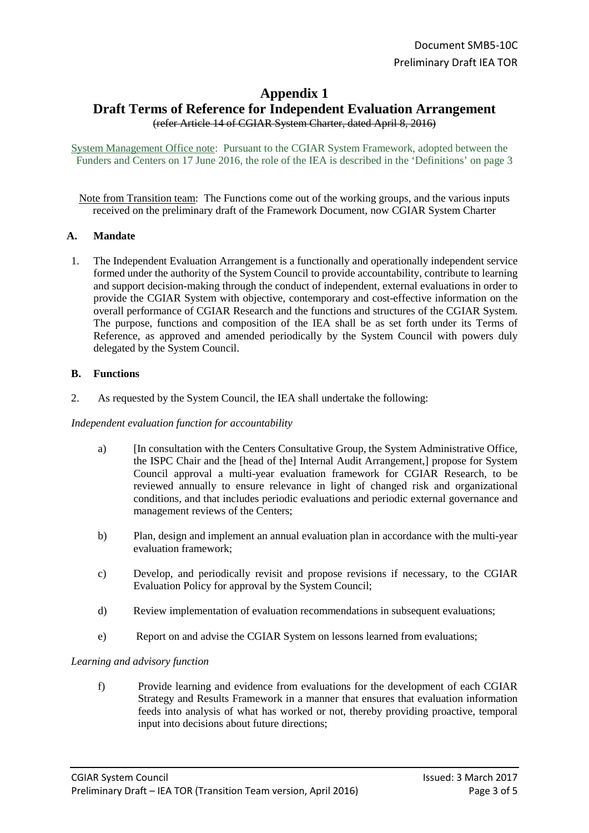# **Appendix 1 Draft Terms of Reference for Independent Evaluation Arrangement** (refer Article 14 of CGIAR System Charter, dated April 8, 2016)

System Management Office note: Pursuant to the CGIAR System Framework, adopted between the Funders and Centers on 17 June 2016, the role of the IEA is described in the 'Definitions' on page 3

Note from Transition team: The Functions come out of the working groups, and the various inputs received on the preliminary draft of the Framework Document, now CGIAR System Charter

## **A. Mandate**

1. The Independent Evaluation Arrangement is a functionally and operationally independent service formed under the authority of the System Council to provide accountability, contribute to learning and support decision-making through the conduct of independent, external evaluations in order to provide the CGIAR System with objective, contemporary and cost-effective information on the overall performance of CGIAR Research and the functions and structures of the CGIAR System. The purpose, functions and composition of the IEA shall be as set forth under its Terms of Reference, as approved and amended periodically by the System Council with powers duly delegated by the System Council.

### **B. Functions**

2. As requested by the System Council, the IEA shall undertake the following:

### *Independent evaluation function for accountability*

- a) [In consultation with the Centers Consultative Group, the System Administrative Office, the ISPC Chair and the [head of the] Internal Audit Arrangement,] propose for System Council approval a multi-year evaluation framework for CGIAR Research, to be reviewed annually to ensure relevance in light of changed risk and organizational conditions, and that includes periodic evaluations and periodic external governance and management reviews of the Centers;
- b) Plan, design and implement an annual evaluation plan in accordance with the multi-year evaluation framework;
- c) Develop, and periodically revisit and propose revisions if necessary, to the CGIAR Evaluation Policy for approval by the System Council;
- d) Review implementation of evaluation recommendations in subsequent evaluations;
- e) Report on and advise the CGIAR System on lessons learned from evaluations;

### *Learning and advisory function*

f) Provide learning and evidence from evaluations for the development of each CGIAR Strategy and Results Framework in a manner that ensures that evaluation information feeds into analysis of what has worked or not, thereby providing proactive, temporal input into decisions about future directions;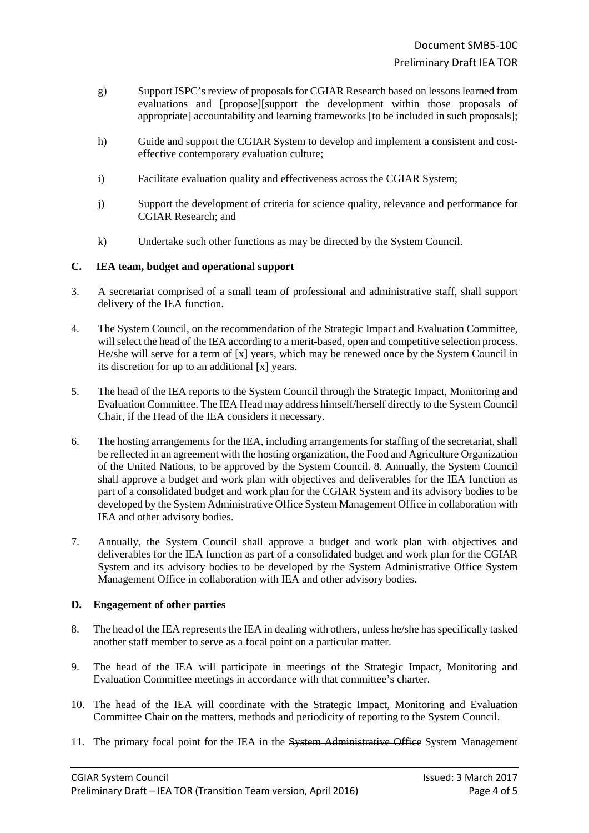- g) Support ISPC's review of proposals for CGIAR Research based on lessons learned from evaluations and [propose][support the development within those proposals of appropriate] accountability and learning frameworks [to be included in such proposals];
- h) Guide and support the CGIAR System to develop and implement a consistent and costeffective contemporary evaluation culture;
- i) Facilitate evaluation quality and effectiveness across the CGIAR System;
- j) Support the development of criteria for science quality, relevance and performance for CGIAR Research; and
- k) Undertake such other functions as may be directed by the System Council.

### **C. IEA team, budget and operational support**

- 3. A secretariat comprised of a small team of professional and administrative staff, shall support delivery of the IEA function.
- 4. The System Council, on the recommendation of the Strategic Impact and Evaluation Committee, will select the head of the IEA according to a merit-based, open and competitive selection process. He/she will serve for a term of [x] years, which may be renewed once by the System Council in its discretion for up to an additional [x] years.
- 5. The head of the IEA reports to the System Council through the Strategic Impact, Monitoring and Evaluation Committee. The IEA Head may address himself/herself directly to the System Council Chair, if the Head of the IEA considers it necessary.
- 6. The hosting arrangements for the IEA, including arrangements for staffing of the secretariat, shall be reflected in an agreement with the hosting organization, the Food and Agriculture Organization of the United Nations, to be approved by the System Council. 8. Annually, the System Council shall approve a budget and work plan with objectives and deliverables for the IEA function as part of a consolidated budget and work plan for the CGIAR System and its advisory bodies to be developed by the System Administrative Office System Management Office in collaboration with IEA and other advisory bodies.
- 7. Annually, the System Council shall approve a budget and work plan with objectives and deliverables for the IEA function as part of a consolidated budget and work plan for the CGIAR System and its advisory bodies to be developed by the System Administrative Office System Management Office in collaboration with IEA and other advisory bodies.

## **D. Engagement of other parties**

- 8. The head of the IEA represents the IEA in dealing with others, unless he/she has specifically tasked another staff member to serve as a focal point on a particular matter.
- 9. The head of the IEA will participate in meetings of the Strategic Impact, Monitoring and Evaluation Committee meetings in accordance with that committee's charter.
- 10. The head of the IEA will coordinate with the Strategic Impact, Monitoring and Evaluation Committee Chair on the matters, methods and periodicity of reporting to the System Council.
- 11. The primary focal point for the IEA in the System Administrative Office System Management